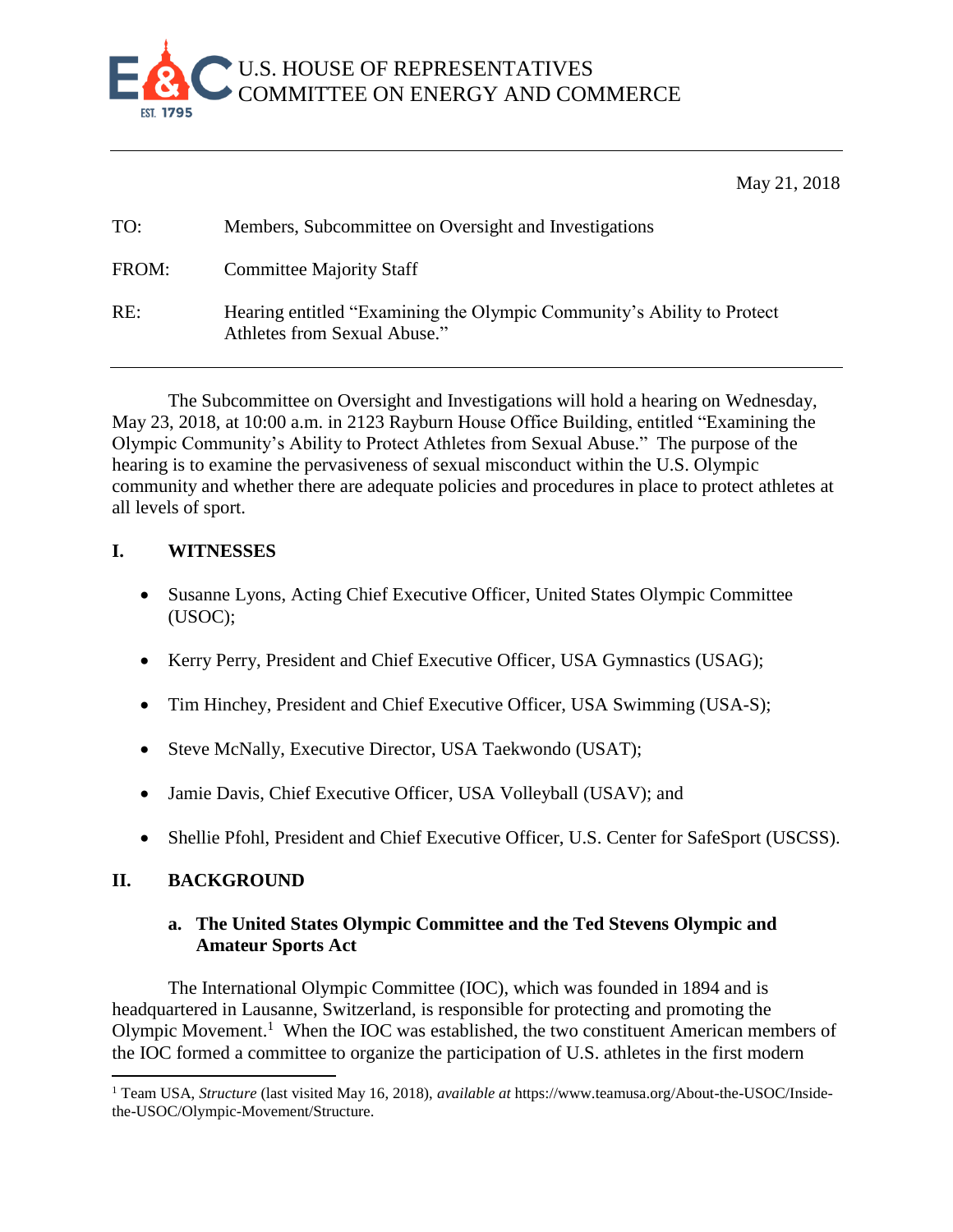

May 21, 2018

| TO:   | Members, Subcommittee on Oversight and Investigations                                                   |
|-------|---------------------------------------------------------------------------------------------------------|
| FROM: | <b>Committee Majority Staff</b>                                                                         |
| RE:   | Hearing entitled "Examining the Olympic Community's Ability to Protect"<br>Athletes from Sexual Abuse." |

The Subcommittee on Oversight and Investigations will hold a hearing on Wednesday, May 23, 2018, at 10:00 a.m. in 2123 Rayburn House Office Building, entitled "Examining the Olympic Community's Ability to Protect Athletes from Sexual Abuse." The purpose of the hearing is to examine the pervasiveness of sexual misconduct within the U.S. Olympic community and whether there are adequate policies and procedures in place to protect athletes at all levels of sport.

## **I. WITNESSES**

- Susanne Lyons, Acting Chief Executive Officer, United States Olympic Committee (USOC);
- Kerry Perry, President and Chief Executive Officer, USA Gymnastics (USAG);
- Tim Hinchey, President and Chief Executive Officer, USA Swimming (USA-S);
- Steve McNally, Executive Director, USA Taekwondo (USAT);
- Jamie Davis, Chief Executive Officer, USA Volleyball (USAV); and
- Shellie Pfohl, President and Chief Executive Officer, U.S. Center for SafeSport (USCSS).

# **II. BACKGROUND**

 $\overline{a}$ 

## **a. The United States Olympic Committee and the Ted Stevens Olympic and Amateur Sports Act**

The International Olympic Committee (IOC), which was founded in 1894 and is headquartered in Lausanne, Switzerland, is responsible for protecting and promoting the Olympic Movement.<sup>1</sup> When the IOC was established, the two constituent American members of the IOC formed a committee to organize the participation of U.S. athletes in the first modern

<sup>1</sup> Team USA, *Structure* (last visited May 16, 2018), *available at* https://www.teamusa.org/About-the-USOC/Insidethe-USOC/Olympic-Movement/Structure.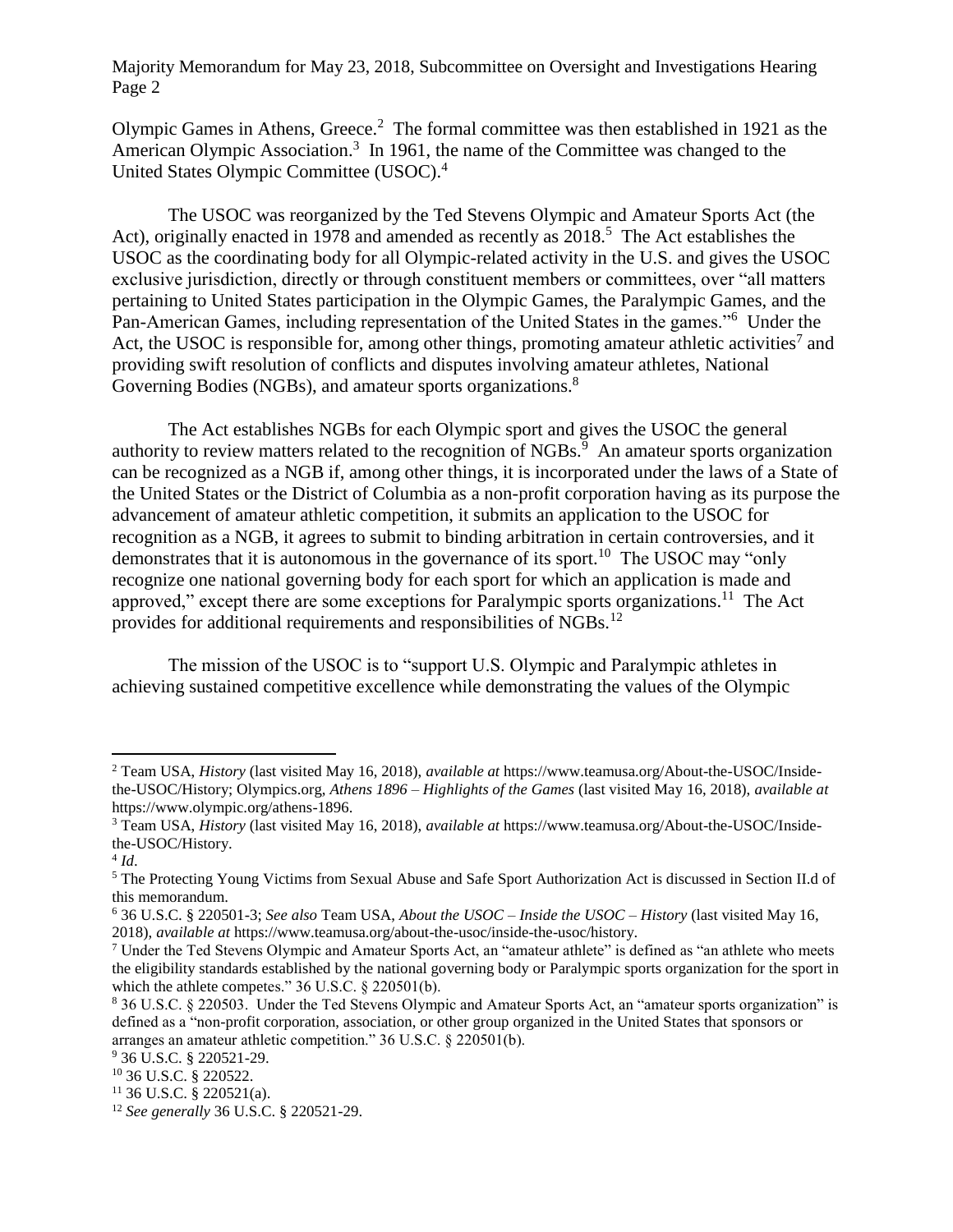Olympic Games in Athens, Greece. 2 The formal committee was then established in 1921 as the American Olympic Association.<sup>3</sup> In 1961, the name of the Committee was changed to the United States Olympic Committee (USOC).<sup>4</sup>

The USOC was reorganized by the Ted Stevens Olympic and Amateur Sports Act (the Act), originally enacted in 1978 and amended as recently as 2018.<sup>5</sup> The Act establishes the USOC as the coordinating body for all Olympic-related activity in the U.S. and gives the USOC exclusive jurisdiction, directly or through constituent members or committees, over "all matters pertaining to United States participation in the Olympic Games, the Paralympic Games, and the Pan-American Games, including representation of the United States in the games."<sup>6</sup> Under the Act, the USOC is responsible for, among other things, promoting amateur athletic activities<sup>7</sup> and providing swift resolution of conflicts and disputes involving amateur athletes, National Governing Bodies (NGBs), and amateur sports organizations.<sup>8</sup>

The Act establishes NGBs for each Olympic sport and gives the USOC the general authority to review matters related to the recognition of NGBs. $\frac{5}{9}$  An amateur sports organization can be recognized as a NGB if, among other things, it is incorporated under the laws of a State of the United States or the District of Columbia as a non-profit corporation having as its purpose the advancement of amateur athletic competition, it submits an application to the USOC for recognition as a NGB, it agrees to submit to binding arbitration in certain controversies, and it demonstrates that it is autonomous in the governance of its sport.<sup>10</sup> The USOC may "only recognize one national governing body for each sport for which an application is made and approved," except there are some exceptions for Paralympic sports organizations.<sup>11</sup> The Act provides for additional requirements and responsibilities of NGBs.<sup>12</sup>

The mission of the USOC is to "support U.S. Olympic and Paralympic athletes in achieving sustained competitive excellence while demonstrating the values of the Olympic

 $\overline{a}$ 

<sup>2</sup> Team USA, *History* (last visited May 16, 2018), *available at* https://www.teamusa.org/About-the-USOC/Insidethe-USOC/History; Olympics.org, *Athens 1896 – Highlights of the Games* (last visited May 16, 2018), *available at* https://www.olympic.org/athens-1896.

<sup>3</sup> Team USA, *History* (last visited May 16, 2018), *available at* https://www.teamusa.org/About-the-USOC/Insidethe-USOC/History.

<sup>4</sup> *Id*.

<sup>5</sup> The Protecting Young Victims from Sexual Abuse and Safe Sport Authorization Act is discussed in Section II.d of this memorandum.

<sup>6</sup> 36 U.S.C. § 220501-3; *See also* Team USA, *About the USOC – Inside the USOC – History* (last visited May 16, 2018), *available at* https://www.teamusa.org/about-the-usoc/inside-the-usoc/history.

 $7$  Under the Ted Stevens Olympic and Amateur Sports Act, an "amateur athlete" is defined as "an athlete who meets the eligibility standards established by the national governing body or Paralympic sports organization for the sport in which the athlete competes." 36 U.S.C. § 220501(b).

<sup>8</sup> 36 U.S.C. § 220503. Under the Ted Stevens Olympic and Amateur Sports Act, an "amateur sports organization" is defined as a "non-profit corporation, association, or other group organized in the United States that sponsors or arranges an amateur athletic competition." 36 U.S.C. § 220501(b).

<sup>9</sup> 36 U.S.C. § 220521-29.

<sup>10</sup> 36 U.S.C. § 220522.

 $11$  36 U.S.C. § 220521(a).

<sup>12</sup> *See generally* 36 U.S.C. § 220521-29.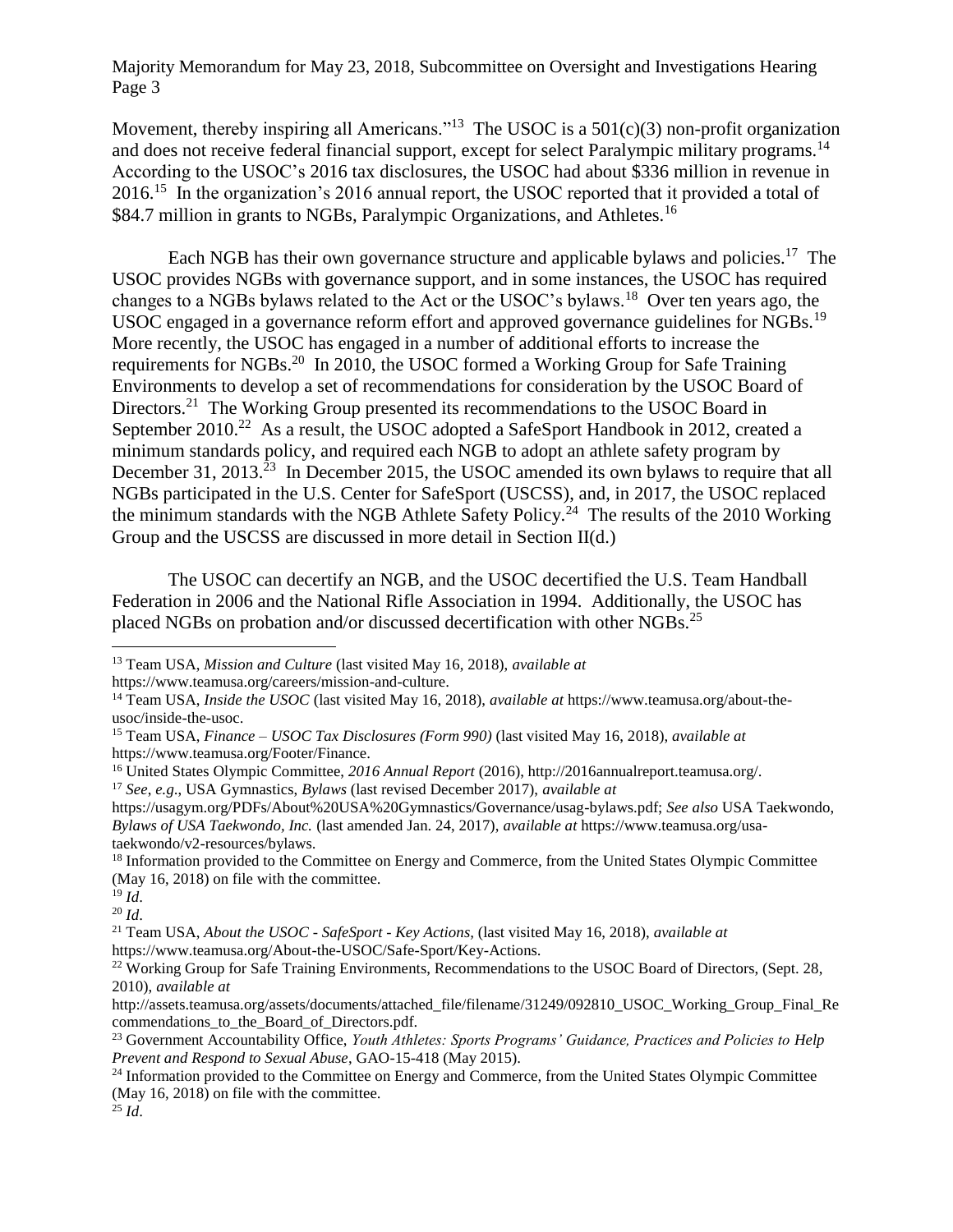Movement, thereby inspiring all Americans."<sup>13</sup> The USOC is a  $501(c)(3)$  non-profit organization and does not receive federal financial support, except for select Paralympic military programs.<sup>14</sup> According to the USOC's 2016 tax disclosures, the USOC had about \$336 million in revenue in 2016.<sup>15</sup> In the organization's 2016 annual report, the USOC reported that it provided a total of \$84.7 million in grants to NGBs, Paralympic Organizations, and Athletes.<sup>16</sup>

Each NGB has their own governance structure and applicable bylaws and policies.<sup>17</sup> The USOC provides NGBs with governance support, and in some instances, the USOC has required changes to a NGBs bylaws related to the Act or the USOC's bylaws.<sup>18</sup> Over ten years ago, the USOC engaged in a governance reform effort and approved governance guidelines for NGBs.<sup>19</sup> More recently, the USOC has engaged in a number of additional efforts to increase the requirements for NGBs.<sup>20</sup> In 2010, the USOC formed a Working Group for Safe Training Environments to develop a set of recommendations for consideration by the USOC Board of Directors.<sup>21</sup> The Working Group presented its recommendations to the USOC Board in September 2010.<sup>22</sup> As a result, the USOC adopted a SafeSport Handbook in 2012, created a minimum standards policy, and required each NGB to adopt an athlete safety program by December 31, 2013.<sup>23</sup> In December 2015, the USOC amended its own bylaws to require that all NGBs participated in the U.S. Center for SafeSport (USCSS), and, in 2017, the USOC replaced the minimum standards with the NGB Athlete Safety Policy.<sup>24</sup> The results of the 2010 Working Group and the USCSS are discussed in more detail in Section II(d.)

The USOC can decertify an NGB, and the USOC decertified the U.S. Team Handball Federation in 2006 and the National Rifle Association in 1994. Additionally, the USOC has placed NGBs on probation and/or discussed decertification with other NGBs.<sup>25</sup>

https://www.teamusa.org/careers/mission-and-culture.

l

<sup>13</sup> Team USA, *Mission and Culture* (last visited May 16, 2018), *available at*

<sup>14</sup> Team USA, *Inside the USOC* (last visited May 16, 2018), *available at* https://www.teamusa.org/about-theusoc/inside-the-usoc.

<sup>15</sup> Team USA, *Finance – USOC Tax Disclosures (Form 990)* (last visited May 16, 2018), *available at* https://www.teamusa.org/Footer/Finance.

<sup>16</sup> United States Olympic Committee, *2016 Annual Report* (2016), http://2016annualreport.teamusa.org/. <sup>17</sup> *See*, *e.g*., USA Gymnastics, *Bylaws* (last revised December 2017), *available at*

https://usagym.org/PDFs/About%20USA%20Gymnastics/Governance/usag-bylaws.pdf; *See also* USA Taekwondo, *Bylaws of USA Taekwondo, Inc.* (last amended Jan. 24, 2017), *available at* https://www.teamusa.org/usataekwondo/v2-resources/bylaws.

<sup>&</sup>lt;sup>18</sup> Information provided to the Committee on Energy and Commerce, from the United States Olympic Committee (May 16, 2018) on file with the committee.

<sup>19</sup> *Id*.

<sup>20</sup> *Id*.

<sup>21</sup> Team USA, *About the USOC - SafeSport - Key Actions,* (last visited May 16, 2018), *available at*  https://www.teamusa.org/About-the-USOC/Safe-Sport/Key-Actions.

<sup>&</sup>lt;sup>22</sup> Working Group for Safe Training Environments, Recommendations to the USOC Board of Directors, (Sept. 28, 2010), *available at* 

http://assets.teamusa.org/assets/documents/attached\_file/filename/31249/092810\_USOC\_Working\_Group\_Final\_Re commendations to the Board of Directors.pdf.

<sup>23</sup> Government Accountability Office, *Youth Athletes: Sports Programs' Guidance, Practices and Policies to Help Prevent and Respond to Sexual Abuse*, GAO-15-418 (May 2015).

<sup>&</sup>lt;sup>24</sup> Information provided to the Committee on Energy and Commerce, from the United States Olympic Committee (May 16, 2018) on file with the committee.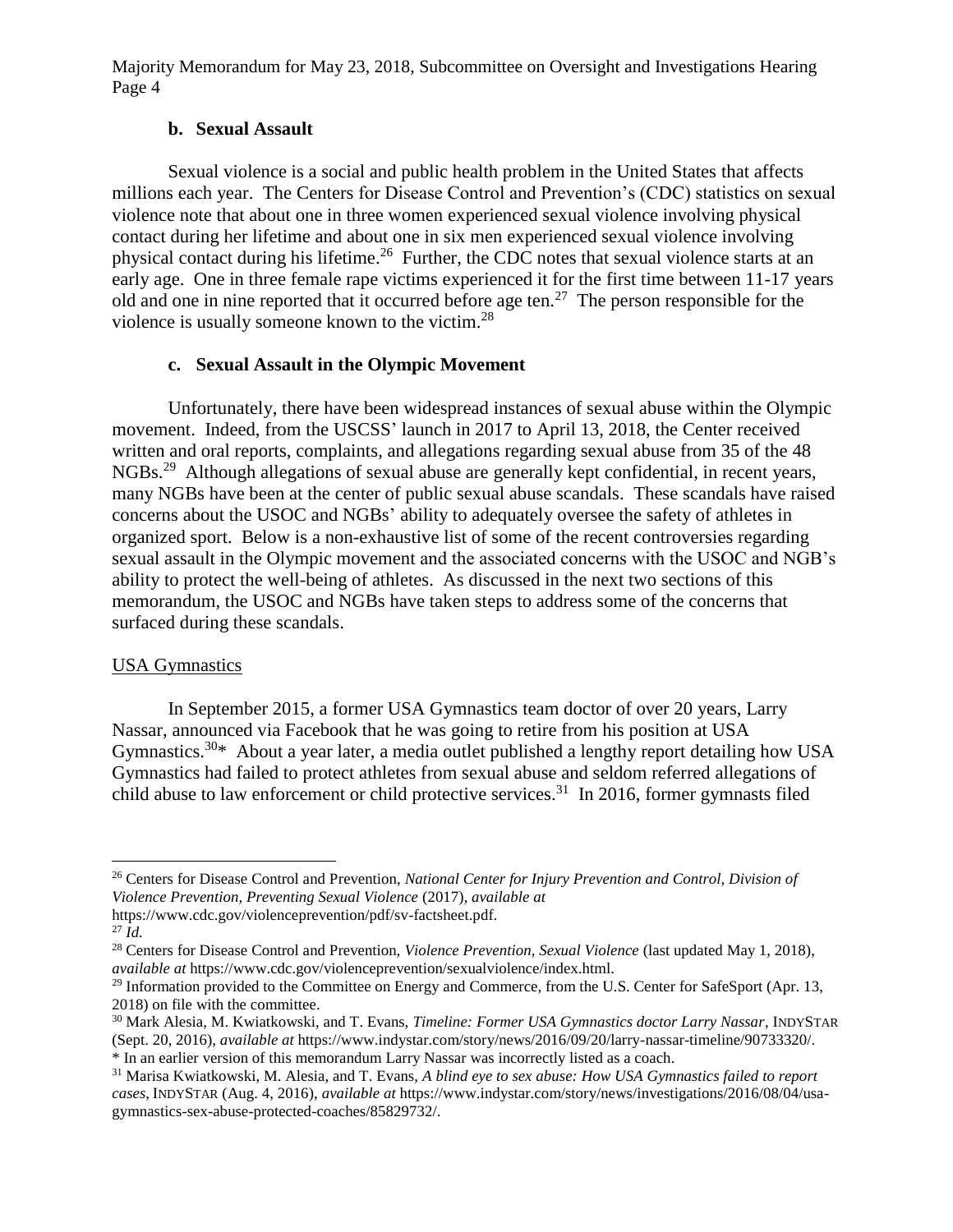## **b. Sexual Assault**

Sexual violence is a social and public health problem in the United States that affects millions each year. The Centers for Disease Control and Prevention's (CDC) statistics on sexual violence note that about one in three women experienced sexual violence involving physical contact during her lifetime and about one in six men experienced sexual violence involving physical contact during his lifetime.<sup>26</sup> Further, the CDC notes that sexual violence starts at an early age. One in three female rape victims experienced it for the first time between 11-17 years old and one in nine reported that it occurred before age ten.<sup>27</sup> The person responsible for the violence is usually someone known to the victim.<sup>28</sup>

### **c. Sexual Assault in the Olympic Movement**

Unfortunately, there have been widespread instances of sexual abuse within the Olympic movement. Indeed, from the USCSS' launch in 2017 to April 13, 2018, the Center received written and oral reports, complaints, and allegations regarding sexual abuse from 35 of the 48 NGBs.<sup>29</sup> Although allegations of sexual abuse are generally kept confidential, in recent years, many NGBs have been at the center of public sexual abuse scandals. These scandals have raised concerns about the USOC and NGBs' ability to adequately oversee the safety of athletes in organized sport. Below is a non-exhaustive list of some of the recent controversies regarding sexual assault in the Olympic movement and the associated concerns with the USOC and NGB's ability to protect the well-being of athletes. As discussed in the next two sections of this memorandum, the USOC and NGBs have taken steps to address some of the concerns that surfaced during these scandals.

## USA Gymnastics

In September 2015, a former USA Gymnastics team doctor of over 20 years, Larry Nassar, announced via Facebook that he was going to retire from his position at USA Gymnastics.<sup>30\*</sup> About a year later, a media outlet published a lengthy report detailing how USA Gymnastics had failed to protect athletes from sexual abuse and seldom referred allegations of child abuse to law enforcement or child protective services.<sup>31</sup> In 2016, former gymnasts filed

 $\overline{a}$ 

<sup>26</sup> Centers for Disease Control and Prevention, *National Center for Injury Prevention and Control, Division of Violence Prevention, Preventing Sexual Violence* (2017), *available at*

https://www.cdc.gov/violenceprevention/pdf/sv-factsheet.pdf.

<sup>27</sup> *Id.*

<sup>28</sup> Centers for Disease Control and Prevention, *Violence Prevention, Sexual Violence* (last updated May 1, 2018), *available at* https://www.cdc.gov/violenceprevention/sexualviolence/index.html.

<sup>&</sup>lt;sup>29</sup> Information provided to the Committee on Energy and Commerce, from the U.S. Center for SafeSport (Apr. 13, 2018) on file with the committee.

<sup>30</sup> Mark Alesia, M. Kwiatkowski, and T. Evans, *Timeline: Former USA Gymnastics doctor Larry Nassar*, INDYSTAR (Sept. 20, 2016), *available at* https://www.indystar.com/story/news/2016/09/20/larry-nassar-timeline/90733320/. \* In an earlier version of this memorandum Larry Nassar was incorrectly listed as a coach.

<sup>31</sup> Marisa Kwiatkowski, M. Alesia, and T. Evans, *A blind eye to sex abuse: How USA Gymnastics failed to report cases*, INDYSTAR (Aug. 4, 2016), *available at* https://www.indystar.com/story/news/investigations/2016/08/04/usagymnastics-sex-abuse-protected-coaches/85829732/.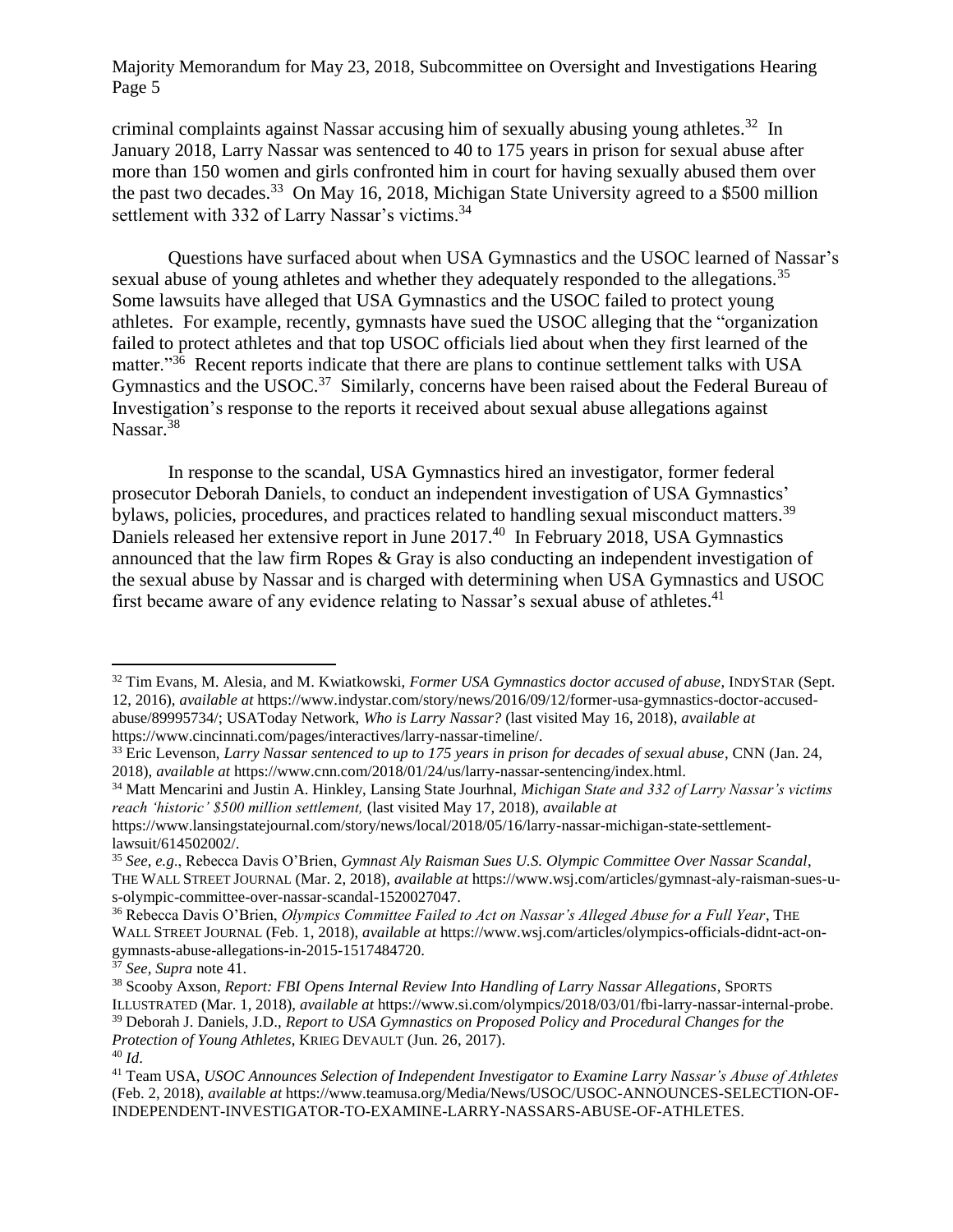criminal complaints against Nassar accusing him of sexually abusing young athletes.<sup>32</sup> In January 2018, Larry Nassar was sentenced to 40 to 175 years in prison for sexual abuse after more than 150 women and girls confronted him in court for having sexually abused them over the past two decades.<sup>33</sup> On May 16, 2018, Michigan State University agreed to a \$500 million settlement with 332 of Larry Nassar's victims.<sup>34</sup>

Questions have surfaced about when USA Gymnastics and the USOC learned of Nassar's sexual abuse of young athletes and whether they adequately responded to the allegations.<sup>35</sup> Some lawsuits have alleged that USA Gymnastics and the USOC failed to protect young athletes. For example, recently, gymnasts have sued the USOC alleging that the "organization failed to protect athletes and that top USOC officials lied about when they first learned of the matter."<sup>36</sup> Recent reports indicate that there are plans to continue settlement talks with USA Gymnastics and the USOC.<sup>37</sup> Similarly, concerns have been raised about the Federal Bureau of Investigation's response to the reports it received about sexual abuse allegations against Nassar.<sup>38</sup>

In response to the scandal, USA Gymnastics hired an investigator, former federal prosecutor Deborah Daniels, to conduct an independent investigation of USA Gymnastics' bylaws, policies, procedures, and practices related to handling sexual misconduct matters.<sup>39</sup> Daniels released her extensive report in June 2017.<sup>40</sup> In February 2018, USA Gymnastics announced that the law firm Ropes & Gray is also conducting an independent investigation of the sexual abuse by Nassar and is charged with determining when USA Gymnastics and USOC first became aware of any evidence relating to Nassar's sexual abuse of athletes.<sup>41</sup>

 $\overline{\phantom{a}}$ 

<sup>32</sup> Tim Evans, M. Alesia, and M. Kwiatkowski, *Former USA Gymnastics doctor accused of abuse*, INDYSTAR (Sept. 12, 2016), *available at* https://www.indystar.com/story/news/2016/09/12/former-usa-gymnastics-doctor-accusedabuse/89995734/; USAToday Network, *Who is Larry Nassar?* (last visited May 16, 2018), *available at* https://www.cincinnati.com/pages/interactives/larry-nassar-timeline/.

<sup>33</sup> Eric Levenson, *Larry Nassar sentenced to up to 175 years in prison for decades of sexual abuse*, CNN (Jan. 24, 2018), *available at* https://www.cnn.com/2018/01/24/us/larry-nassar-sentencing/index.html.

<sup>34</sup> Matt Mencarini and Justin A. Hinkley, Lansing State Jourhnal, *Michigan State and 332 of Larry Nassar's victims reach 'historic' \$500 million settlement,* (last visited May 17, 2018), *available at* 

https://www.lansingstatejournal.com/story/news/local/2018/05/16/larry-nassar-michigan-state-settlementlawsuit/614502002/.

<sup>35</sup> *See*, *e.g*., Rebecca Davis O'Brien, *Gymnast Aly Raisman Sues U.S. Olympic Committee Over Nassar Scandal*, THE WALL STREET JOURNAL (Mar. 2, 2018), *available at* https://www.wsj.com/articles/gymnast-aly-raisman-sues-us-olympic-committee-over-nassar-scandal-1520027047.

<sup>36</sup> Rebecca Davis O'Brien, *Olympics Committee Failed to Act on Nassar's Alleged Abuse for a Full Year*, THE WALL STREET JOURNAL (Feb. 1, 2018), *available at* https://www.wsj.com/articles/olympics-officials-didnt-act-ongymnasts-abuse-allegations-in-2015-1517484720.

<sup>37</sup> *See, Supra* note 41.

<sup>38</sup> Scooby Axson, *Report: FBI Opens Internal Review Into Handling of Larry Nassar Allegations*, SPORTS ILLUSTRATED (Mar. 1, 2018), *available at* https://www.si.com/olympics/2018/03/01/fbi-larry-nassar-internal-probe.

<sup>39</sup> Deborah J. Daniels, J.D., *Report to USA Gymnastics on Proposed Policy and Procedural Changes for the Protection of Young Athletes*, KRIEG DEVAULT (Jun. 26, 2017).

<sup>40</sup> *Id*.

<sup>41</sup> Team USA, *USOC Announces Selection of Independent Investigator to Examine Larry Nassar's Abuse of Athletes* (Feb. 2, 2018), *available at* https://www.teamusa.org/Media/News/USOC/USOC-ANNOUNCES-SELECTION-OF-INDEPENDENT-INVESTIGATOR-TO-EXAMINE-LARRY-NASSARS-ABUSE-OF-ATHLETES.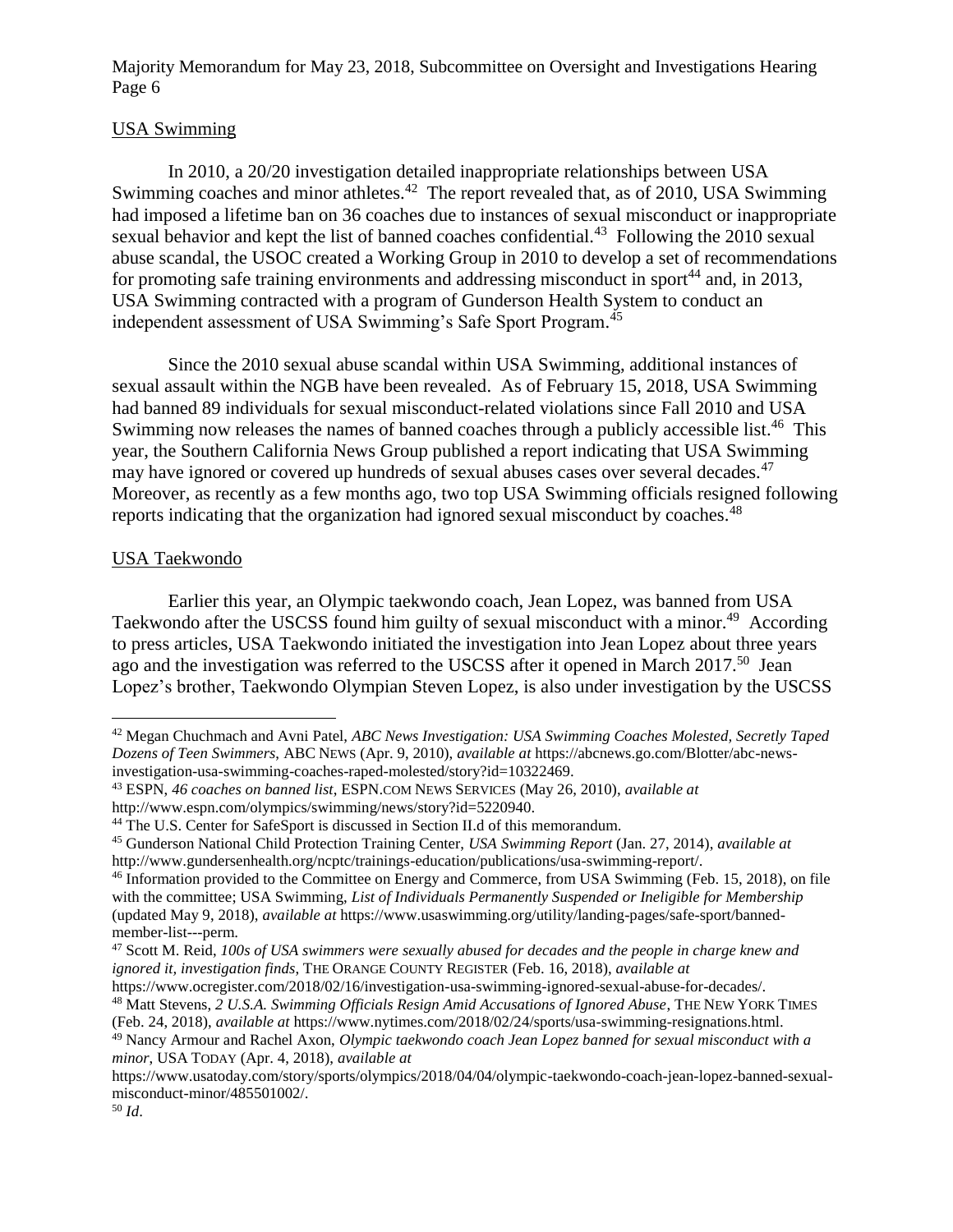## USA Swimming

In 2010, a 20/20 investigation detailed inappropriate relationships between USA Swimming coaches and minor athletes.<sup>42</sup> The report revealed that, as of 2010, USA Swimming had imposed a lifetime ban on 36 coaches due to instances of sexual misconduct or inappropriate sexual behavior and kept the list of banned coaches confidential.<sup>43</sup> Following the 2010 sexual abuse scandal, the USOC created a Working Group in 2010 to develop a set of recommendations for promoting safe training environments and addressing misconduct in sport<sup>44</sup> and, in 2013, USA Swimming contracted with a program of Gunderson Health System to conduct an independent assessment of USA Swimming's Safe Sport Program.<sup>45</sup>

Since the 2010 sexual abuse scandal within USA Swimming, additional instances of sexual assault within the NGB have been revealed. As of February 15, 2018, USA Swimming had banned 89 individuals for sexual misconduct-related violations since Fall 2010 and USA Swimming now releases the names of banned coaches through a publicly accessible list.<sup>46</sup> This year, the Southern California News Group published a report indicating that USA Swimming may have ignored or covered up hundreds of sexual abuses cases over several decades.<sup>47</sup> Moreover, as recently as a few months ago, two top USA Swimming officials resigned following reports indicating that the organization had ignored sexual misconduct by coaches.<sup>48</sup>

### USA Taekwondo

Earlier this year, an Olympic taekwondo coach, Jean Lopez, was banned from USA Taekwondo after the USCSS found him guilty of sexual misconduct with a minor.<sup>49</sup> According to press articles, USA Taekwondo initiated the investigation into Jean Lopez about three years ago and the investigation was referred to the USCSS after it opened in March 2017.<sup>50</sup> Jean Lopez's brother, Taekwondo Olympian Steven Lopez, is also under investigation by the USCSS

 $\overline{\phantom{a}}$ 

<sup>42</sup> Megan Chuchmach and Avni Patel, *ABC News Investigation: USA Swimming Coaches Molested, Secretly Taped Dozens of Teen Swimmers*, ABC NEWS (Apr. 9, 2010), *available at* https://abcnews.go.com/Blotter/abc-newsinvestigation-usa-swimming-coaches-raped-molested/story?id=10322469.

<sup>43</sup> ESPN, *46 coaches on banned list*, ESPN.COM NEWS SERVICES (May 26, 2010), *available at* http://www.espn.com/olympics/swimming/news/story?id=5220940.

<sup>&</sup>lt;sup>44</sup> The U.S. Center for SafeSport is discussed in Section II.d of this memorandum.

<sup>45</sup> Gunderson National Child Protection Training Center, *USA Swimming Report* (Jan. 27, 2014), *available at* http://www.gundersenhealth.org/ncptc/trainings-education/publications/usa-swimming-report/.

<sup>46</sup> Information provided to the Committee on Energy and Commerce, from USA Swimming (Feb. 15, 2018), on file with the committee; USA Swimming, *List of Individuals Permanently Suspended or Ineligible for Membership* (updated May 9, 2018), *available at* https://www.usaswimming.org/utility/landing-pages/safe-sport/bannedmember-list---perm.

<sup>47</sup> Scott M. Reid, *100s of USA swimmers were sexually abused for decades and the people in charge knew and ignored it, investigation finds*, THE ORANGE COUNTY REGISTER (Feb. 16, 2018), *available at*

https://www.ocregister.com/2018/02/16/investigation-usa-swimming-ignored-sexual-abuse-for-decades/. <sup>48</sup> Matt Stevens, *2 U.S.A. Swimming Officials Resign Amid Accusations of Ignored Abuse*, THE NEW YORK TIMES

<sup>(</sup>Feb. 24, 2018), *available at* https://www.nytimes.com/2018/02/24/sports/usa-swimming-resignations.html. <sup>49</sup> Nancy Armour and Rachel Axon, *Olympic taekwondo coach Jean Lopez banned for sexual misconduct with a minor*, USA TODAY (Apr. 4, 2018), *available at*

https://www.usatoday.com/story/sports/olympics/2018/04/04/olympic-taekwondo-coach-jean-lopez-banned-sexualmisconduct-minor/485501002/.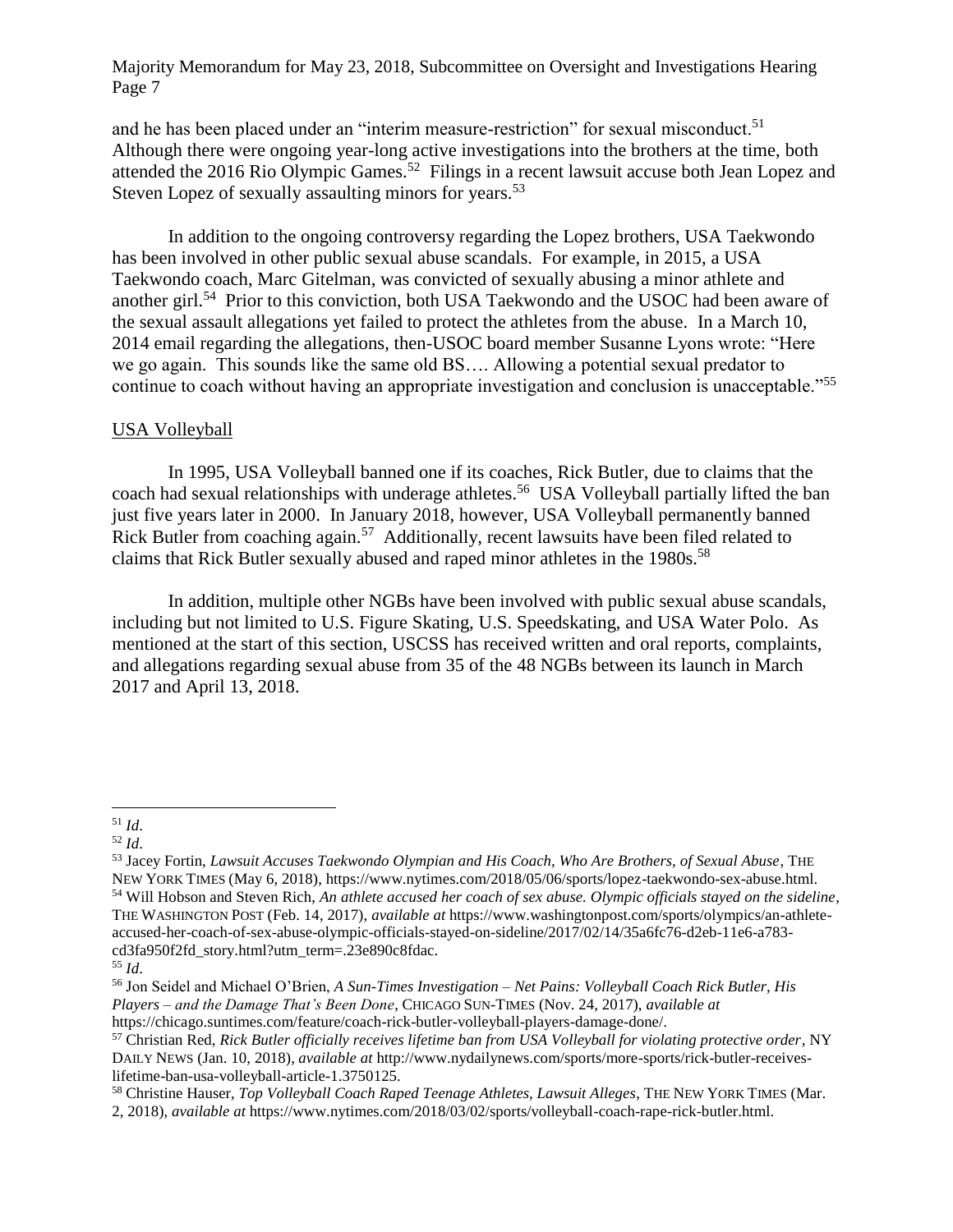and he has been placed under an "interim measure-restriction" for sexual misconduct.<sup>51</sup> Although there were ongoing year-long active investigations into the brothers at the time, both attended the 2016 Rio Olympic Games.<sup>52</sup> Filings in a recent lawsuit accuse both Jean Lopez and Steven Lopez of sexually assaulting minors for years.<sup>53</sup>

In addition to the ongoing controversy regarding the Lopez brothers, USA Taekwondo has been involved in other public sexual abuse scandals. For example, in 2015, a USA Taekwondo coach, Marc Gitelman, was convicted of sexually abusing a minor athlete and another girl.<sup>54</sup> Prior to this conviction, both USA Taekwondo and the USOC had been aware of the sexual assault allegations yet failed to protect the athletes from the abuse. In a March 10, 2014 email regarding the allegations, then-USOC board member Susanne Lyons wrote: "Here we go again. This sounds like the same old BS…. Allowing a potential sexual predator to continue to coach without having an appropriate investigation and conclusion is unacceptable."<sup>55</sup>

#### USA Volleyball

In 1995, USA Volleyball banned one if its coaches, Rick Butler, due to claims that the coach had sexual relationships with underage athletes.<sup>56</sup> USA Volleyball partially lifted the ban just five years later in 2000. In January 2018, however, USA Volleyball permanently banned Rick Butler from coaching again.<sup>57</sup> Additionally, recent lawsuits have been filed related to claims that Rick Butler sexually abused and raped minor athletes in the 1980s.<sup>58</sup>

In addition, multiple other NGBs have been involved with public sexual abuse scandals, including but not limited to U.S. Figure Skating, U.S. Speedskating, and USA Water Polo. As mentioned at the start of this section, USCSS has received written and oral reports, complaints, and allegations regarding sexual abuse from 35 of the 48 NGBs between its launch in March 2017 and April 13, 2018.

l

<sup>51</sup> *Id*.

<sup>52</sup> *Id*.

<sup>53</sup> Jacey Fortin, *Lawsuit Accuses Taekwondo Olympian and His Coach, Who Are Brothers, of Sexual Abuse*, THE NEW YORK TIMES (May 6, 2018), https://www.nytimes.com/2018/05/06/sports/lopez-taekwondo-sex-abuse.html. <sup>54</sup> Will Hobson and Steven Rich, *An athlete accused her coach of sex abuse. Olympic officials stayed on the sideline*, THE WASHINGTON POST (Feb. 14, 2017), *available at* https://www.washingtonpost.com/sports/olympics/an-athleteaccused-her-coach-of-sex-abuse-olympic-officials-stayed-on-sideline/2017/02/14/35a6fc76-d2eb-11e6-a783 cd3fa950f2fd\_story.html?utm\_term=.23e890c8fdac.

<sup>55</sup> *Id*.

<sup>56</sup> Jon Seidel and Michael O'Brien, *A Sun-Times Investigation – Net Pains: Volleyball Coach Rick Butler, His Players – and the Damage That's Been Done*, CHICAGO SUN-TIMES (Nov. 24, 2017), *available at*  https://chicago.suntimes.com/feature/coach-rick-butler-volleyball-players-damage-done/.

<sup>57</sup> Christian Red, *Rick Butler officially receives lifetime ban from USA Volleyball for violating protective order*, NY DAILY NEWS (Jan. 10, 2018), *available at* http://www.nydailynews.com/sports/more-sports/rick-butler-receiveslifetime-ban-usa-volleyball-article-1.3750125.

<sup>58</sup> Christine Hauser, *Top Volleyball Coach Raped Teenage Athletes, Lawsuit Alleges*, THE NEW YORK TIMES (Mar. 2, 2018), *available at* https://www.nytimes.com/2018/03/02/sports/volleyball-coach-rape-rick-butler.html.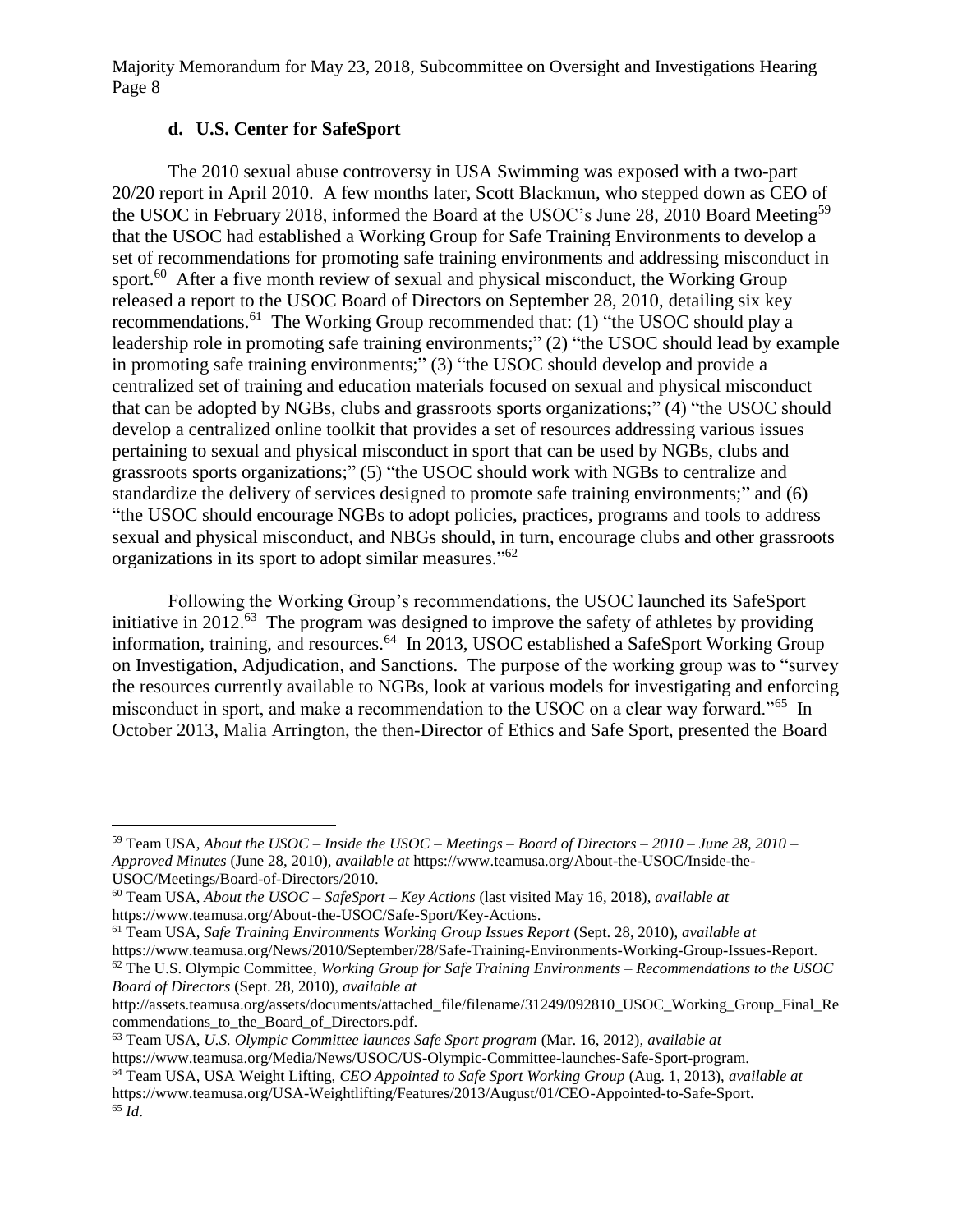## **d. U.S. Center for SafeSport**

 $\overline{\phantom{a}}$ 

The 2010 sexual abuse controversy in USA Swimming was exposed with a two-part 20/20 report in April 2010. A few months later, Scott Blackmun, who stepped down as CEO of the USOC in February 2018, informed the Board at the USOC's June 28, 2010 Board Meeting<sup>59</sup> that the USOC had established a Working Group for Safe Training Environments to develop a set of recommendations for promoting safe training environments and addressing misconduct in sport.<sup>60</sup> After a five month review of sexual and physical misconduct, the Working Group released a report to the USOC Board of Directors on September 28, 2010, detailing six key recommendations.<sup>61</sup> The Working Group recommended that: (1) "the USOC should play a leadership role in promoting safe training environments;" (2) "the USOC should lead by example in promoting safe training environments;" (3) "the USOC should develop and provide a centralized set of training and education materials focused on sexual and physical misconduct that can be adopted by NGBs, clubs and grassroots sports organizations;" (4) "the USOC should develop a centralized online toolkit that provides a set of resources addressing various issues pertaining to sexual and physical misconduct in sport that can be used by NGBs, clubs and grassroots sports organizations;" (5) "the USOC should work with NGBs to centralize and standardize the delivery of services designed to promote safe training environments;" and (6) "the USOC should encourage NGBs to adopt policies, practices, programs and tools to address sexual and physical misconduct, and NBGs should, in turn, encourage clubs and other grassroots organizations in its sport to adopt similar measures."<sup>62</sup>

Following the Working Group's recommendations, the USOC launched its SafeSport initiative in 2012.<sup>63</sup> The program was designed to improve the safety of athletes by providing information, training, and resources.<sup>64</sup> In 2013, USOC established a SafeSport Working Group on Investigation, Adjudication, and Sanctions. The purpose of the working group was to "survey the resources currently available to NGBs, look at various models for investigating and enforcing misconduct in sport, and make a recommendation to the USOC on a clear way forward."<sup>65</sup> In October 2013, Malia Arrington, the then-Director of Ethics and Safe Sport, presented the Board

<sup>63</sup> Team USA, *U.S. Olympic Committee launces Safe Sport program* (Mar. 16, 2012), *available at* https://www.teamusa.org/Media/News/USOC/US-Olympic-Committee-launches-Safe-Sport-program.

<sup>59</sup> Team USA, *About the USOC – Inside the USOC – Meetings – Board of Directors – 2010 – June 28, 2010 – Approved Minutes* (June 28, 2010), *available at* https://www.teamusa.org/About-the-USOC/Inside-the-USOC/Meetings/Board-of-Directors/2010.

<sup>60</sup> Team USA, *About the USOC – SafeSport – Key Actions* (last visited May 16, 2018), *available at* https://www.teamusa.org/About-the-USOC/Safe-Sport/Key-Actions.

<sup>61</sup> Team USA, *Safe Training Environments Working Group Issues Report* (Sept. 28, 2010), *available at* https://www.teamusa.org/News/2010/September/28/Safe-Training-Environments-Working-Group-Issues-Report. <sup>62</sup> The U.S. Olympic Committee, *Working Group for Safe Training Environments – Recommendations to the USOC Board of Directors* (Sept. 28, 2010), *available at*

http://assets.teamusa.org/assets/documents/attached\_file/filename/31249/092810\_USOC\_Working\_Group\_Final\_Re commendations to the Board of Directors.pdf.

<sup>64</sup> Team USA, USA Weight Lifting, *CEO Appointed to Safe Sport Working Group* (Aug. 1, 2013), *available at* https://www.teamusa.org/USA-Weightlifting/Features/2013/August/01/CEO-Appointed-to-Safe-Sport. <sup>65</sup> *Id*.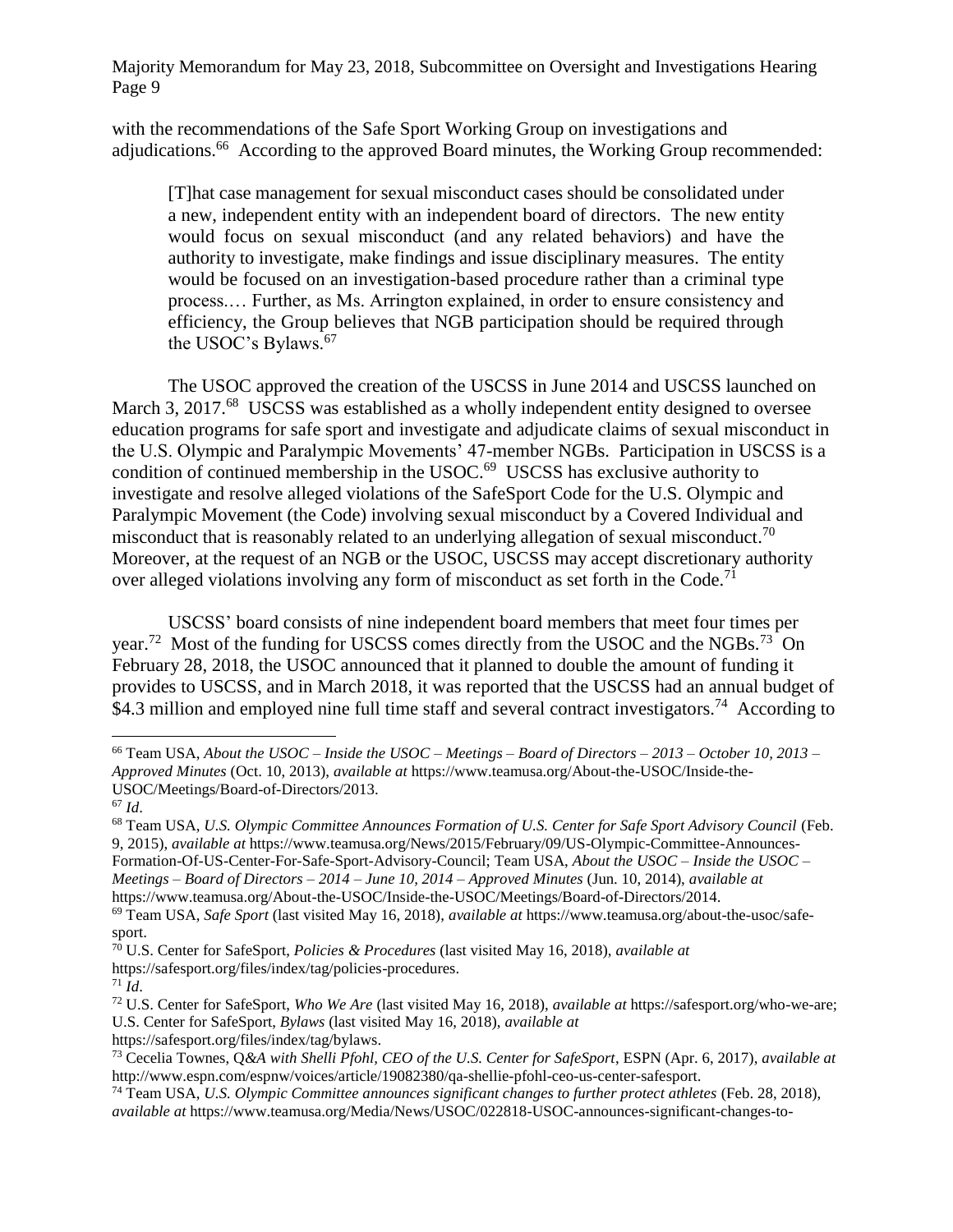with the recommendations of the Safe Sport Working Group on investigations and adjudications.<sup>66</sup> According to the approved Board minutes, the Working Group recommended:

[T]hat case management for sexual misconduct cases should be consolidated under a new, independent entity with an independent board of directors. The new entity would focus on sexual misconduct (and any related behaviors) and have the authority to investigate, make findings and issue disciplinary measures. The entity would be focused on an investigation-based procedure rather than a criminal type process.… Further, as Ms. Arrington explained, in order to ensure consistency and efficiency, the Group believes that NGB participation should be required through the USOC's Bylaws.<sup>67</sup>

The USOC approved the creation of the USCSS in June 2014 and USCSS launched on March 3, 2017.<sup>68</sup> USCSS was established as a wholly independent entity designed to oversee education programs for safe sport and investigate and adjudicate claims of sexual misconduct in the U.S. Olympic and Paralympic Movements' 47-member NGBs. Participation in USCSS is a condition of continued membership in the USOC.<sup>69</sup> USCSS has exclusive authority to investigate and resolve alleged violations of the SafeSport Code for the U.S. Olympic and Paralympic Movement (the Code) involving sexual misconduct by a Covered Individual and misconduct that is reasonably related to an underlying allegation of sexual misconduct.<sup>70</sup> Moreover, at the request of an NGB or the USOC, USCSS may accept discretionary authority over alleged violations involving any form of misconduct as set forth in the Code.<sup>71</sup>

USCSS' board consists of nine independent board members that meet four times per year.<sup>72</sup> Most of the funding for USCSS comes directly from the USOC and the NGBs.<sup>73</sup> On February 28, 2018, the USOC announced that it planned to double the amount of funding it provides to USCSS, and in March 2018, it was reported that the USCSS had an annual budget of \$4.3 million and employed nine full time staff and several contract investigators.<sup>74</sup> According to

 $\overline{\phantom{a}}$ <sup>66</sup> Team USA, *About the USOC – Inside the USOC – Meetings – Board of Directors – 2013 – October 10, 2013 – Approved Minutes* (Oct. 10, 2013), *available at* https://www.teamusa.org/About-the-USOC/Inside-the-USOC/Meetings/Board-of-Directors/2013.

<sup>67</sup> *Id*.

<sup>68</sup> Team USA, *U.S. Olympic Committee Announces Formation of U.S. Center for Safe Sport Advisory Council* (Feb. 9, 2015), *available at* https://www.teamusa.org/News/2015/February/09/US-Olympic-Committee-Announces-Formation-Of-US-Center-For-Safe-Sport-Advisory-Council; Team USA, *About the USOC – Inside the USOC – Meetings – Board of Directors – 2014 – June 10, 2014 – Approved Minutes* (Jun. 10, 2014), *available at* https://www.teamusa.org/About-the-USOC/Inside-the-USOC/Meetings/Board-of-Directors/2014.

<sup>69</sup> Team USA, *Safe Sport* (last visited May 16, 2018), *available at* https://www.teamusa.org/about-the-usoc/safesport.

<sup>70</sup> U.S. Center for SafeSport, *Policies & Procedures* (last visited May 16, 2018), *available at* https://safesport.org/files/index/tag/policies-procedures.

 $71$  *Id.* 

<sup>72</sup> U.S. Center for SafeSport, *Who We Are* (last visited May 16, 2018), *available at* https://safesport.org/who-we-are; U.S. Center for SafeSport, *Bylaws* (last visited May 16, 2018), *available at*

https://safesport.org/files/index/tag/bylaws.

<sup>73</sup> Cecelia Townes, Q*&A with Shelli Pfohl, CEO of the U.S. Center for SafeSport*, ESPN (Apr. 6, 2017), *available at* http://www.espn.com/espnw/voices/article/19082380/qa-shellie-pfohl-ceo-us-center-safesport.

<sup>74</sup> Team USA, *U.S. Olympic Committee announces significant changes to further protect athletes* (Feb. 28, 2018), *available at* https://www.teamusa.org/Media/News/USOC/022818-USOC-announces-significant-changes-to-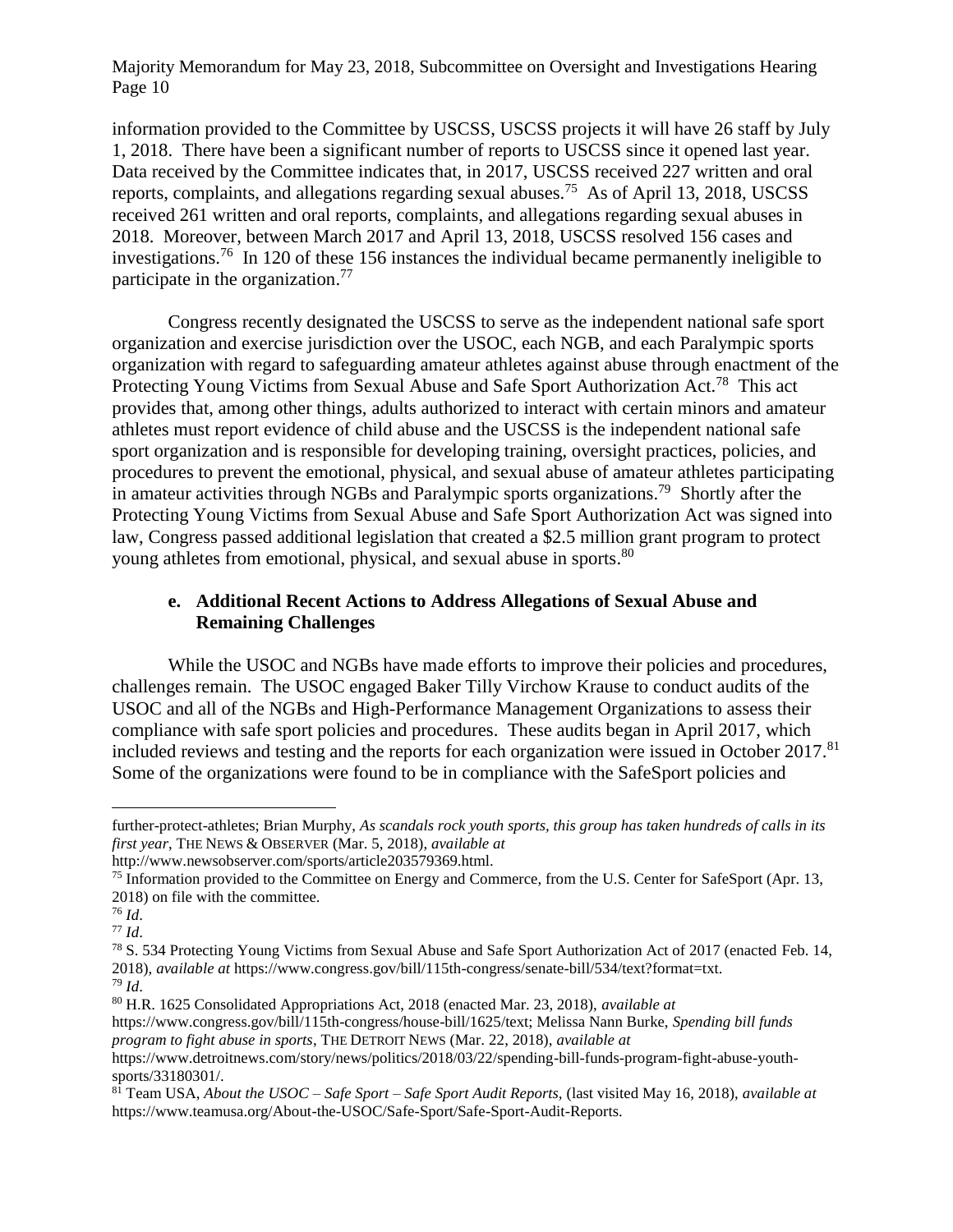information provided to the Committee by USCSS, USCSS projects it will have 26 staff by July 1, 2018. There have been a significant number of reports to USCSS since it opened last year. Data received by the Committee indicates that, in 2017, USCSS received 227 written and oral reports, complaints, and allegations regarding sexual abuses.<sup>75</sup> As of April 13, 2018, USCSS received 261 written and oral reports, complaints, and allegations regarding sexual abuses in 2018. Moreover, between March 2017 and April 13, 2018, USCSS resolved 156 cases and investigations.<sup>76</sup> In 120 of these 156 instances the individual became permanently ineligible to participate in the organization.<sup>77</sup>

Congress recently designated the USCSS to serve as the independent national safe sport organization and exercise jurisdiction over the USOC, each NGB, and each Paralympic sports organization with regard to safeguarding amateur athletes against abuse through enactment of the Protecting Young Victims from Sexual Abuse and Safe Sport Authorization Act.<sup>78</sup> This act provides that, among other things, adults authorized to interact with certain minors and amateur athletes must report evidence of child abuse and the USCSS is the independent national safe sport organization and is responsible for developing training, oversight practices, policies, and procedures to prevent the emotional, physical, and sexual abuse of amateur athletes participating in amateur activities through NGBs and Paralympic sports organizations.<sup>79</sup> Shortly after the Protecting Young Victims from Sexual Abuse and Safe Sport Authorization Act was signed into law, Congress passed additional legislation that created a \$2.5 million grant program to protect young athletes from emotional, physical, and sexual abuse in sports.<sup>80</sup>

## **e. Additional Recent Actions to Address Allegations of Sexual Abuse and Remaining Challenges**

While the USOC and NGBs have made efforts to improve their policies and procedures, challenges remain. The USOC engaged Baker Tilly Virchow Krause to conduct audits of the USOC and all of the NGBs and High-Performance Management Organizations to assess their compliance with safe sport policies and procedures. These audits began in April 2017, which included reviews and testing and the reports for each organization were issued in October 2017.<sup>81</sup> Some of the organizations were found to be in compliance with the SafeSport policies and

l

further-protect-athletes; Brian Murphy, *As scandals rock youth sports, this group has taken hundreds of calls in its first year*, THE NEWS & OBSERVER (Mar. 5, 2018), *available at*

http://www.newsobserver.com/sports/article203579369.html.

<sup>&</sup>lt;sup>75</sup> Information provided to the Committee on Energy and Commerce, from the U.S. Center for SafeSport (Apr. 13, 2018) on file with the committee.

<sup>76</sup> *Id*.

<sup>77</sup> *Id*.

<sup>78</sup> S. 534 Protecting Young Victims from Sexual Abuse and Safe Sport Authorization Act of 2017 (enacted Feb. 14, 2018), *available at* https://www.congress.gov/bill/115th-congress/senate-bill/534/text?format=txt. <sup>79</sup> *Id*.

<sup>80</sup> H.R. 1625 Consolidated Appropriations Act, 2018 (enacted Mar. 23, 2018), *available at*

https://www.congress.gov/bill/115th-congress/house-bill/1625/text; Melissa Nann Burke, *Spending bill funds program to fight abuse in sports*, THE DETROIT NEWS (Mar. 22, 2018), *available at*

https://www.detroitnews.com/story/news/politics/2018/03/22/spending-bill-funds-program-fight-abuse-youthsports/33180301/.

<sup>81</sup> Team USA, *About the USOC – Safe Sport – Safe Sport Audit Reports,* (last visited May 16, 2018), *available at*  https://www.teamusa.org/About-the-USOC/Safe-Sport/Safe-Sport-Audit-Reports.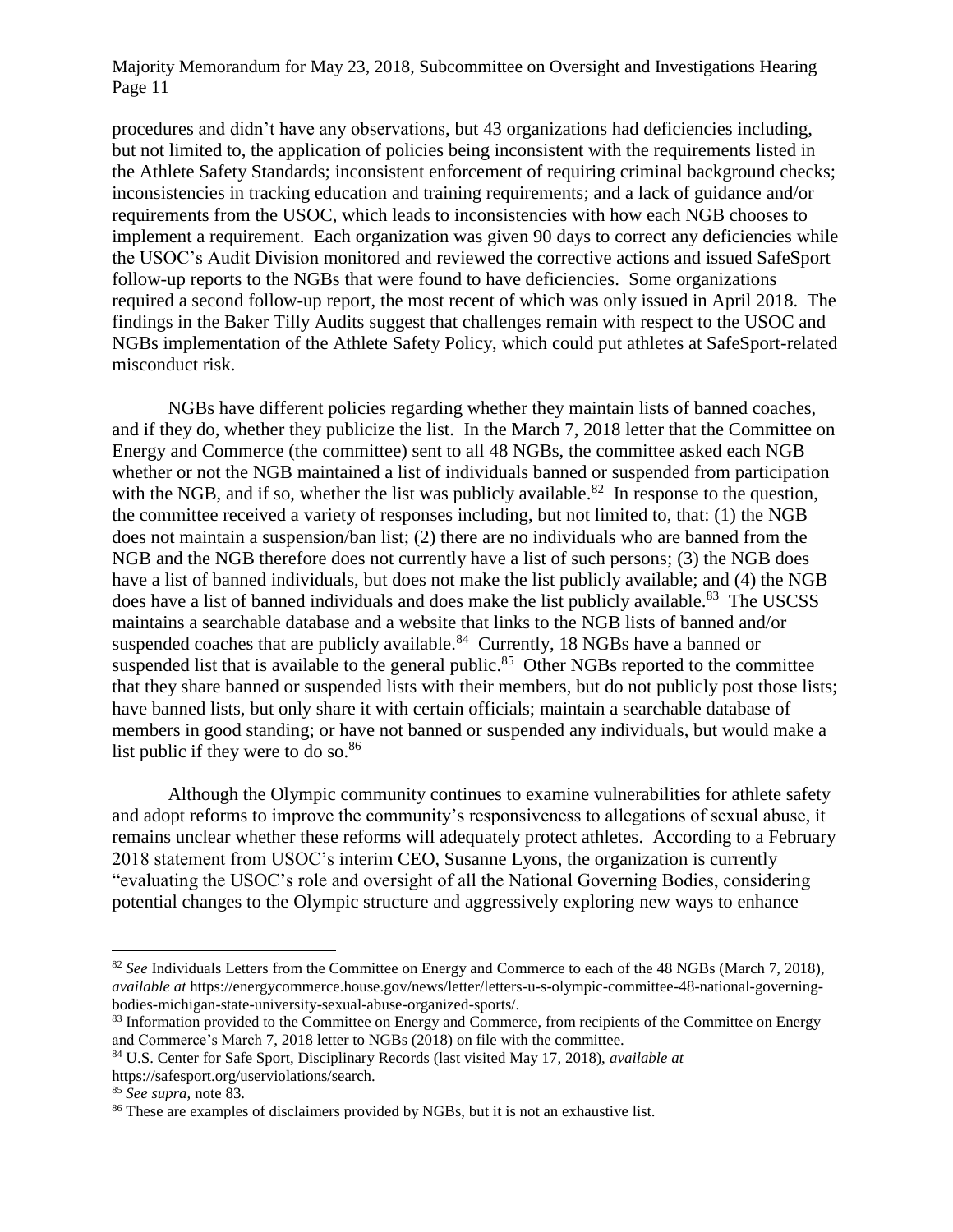procedures and didn't have any observations, but 43 organizations had deficiencies including, but not limited to, the application of policies being inconsistent with the requirements listed in the Athlete Safety Standards; inconsistent enforcement of requiring criminal background checks; inconsistencies in tracking education and training requirements; and a lack of guidance and/or requirements from the USOC, which leads to inconsistencies with how each NGB chooses to implement a requirement. Each organization was given 90 days to correct any deficiencies while the USOC's Audit Division monitored and reviewed the corrective actions and issued SafeSport follow-up reports to the NGBs that were found to have deficiencies. Some organizations required a second follow-up report, the most recent of which was only issued in April 2018. The findings in the Baker Tilly Audits suggest that challenges remain with respect to the USOC and NGBs implementation of the Athlete Safety Policy, which could put athletes at SafeSport-related misconduct risk.

NGBs have different policies regarding whether they maintain lists of banned coaches, and if they do, whether they publicize the list. In the March 7, 2018 letter that the Committee on Energy and Commerce (the committee) sent to all 48 NGBs, the committee asked each NGB whether or not the NGB maintained a list of individuals banned or suspended from participation with the NGB, and if so, whether the list was publicly available.<sup>82</sup> In response to the question, the committee received a variety of responses including, but not limited to, that: (1) the NGB does not maintain a suspension/ban list; (2) there are no individuals who are banned from the NGB and the NGB therefore does not currently have a list of such persons; (3) the NGB does have a list of banned individuals, but does not make the list publicly available; and (4) the NGB does have a list of banned individuals and does make the list publicly available.<sup>83</sup> The USCSS maintains a searchable database and a website that links to the NGB lists of banned and/or suspended coaches that are publicly available. $84$  Currently, 18 NGBs have a banned or suspended list that is available to the general public.<sup>85</sup> Other NGBs reported to the committee that they share banned or suspended lists with their members, but do not publicly post those lists; have banned lists, but only share it with certain officials; maintain a searchable database of members in good standing; or have not banned or suspended any individuals, but would make a list public if they were to do so. $86$ 

Although the Olympic community continues to examine vulnerabilities for athlete safety and adopt reforms to improve the community's responsiveness to allegations of sexual abuse, it remains unclear whether these reforms will adequately protect athletes. According to a February 2018 statement from USOC's interim CEO, Susanne Lyons, the organization is currently "evaluating the USOC's role and oversight of all the National Governing Bodies, considering potential changes to the Olympic structure and aggressively exploring new ways to enhance

 $\overline{\phantom{a}}$ 

<sup>&</sup>lt;sup>82</sup> *See* Individuals Letters from the Committee on Energy and Commerce to each of the 48 NGBs (March 7, 2018), *available at* https://energycommerce.house.gov/news/letter/letters-u-s-olympic-committee-48-national-governingbodies-michigan-state-university-sexual-abuse-organized-sports/.

<sup>&</sup>lt;sup>83</sup> Information provided to the Committee on Energy and Commerce, from recipients of the Committee on Energy and Commerce's March 7, 2018 letter to NGBs (2018) on file with the committee.

<sup>84</sup> U.S. Center for Safe Sport, Disciplinary Records (last visited May 17, 2018), *available at* https://safesport.org/userviolations/search.

<sup>85</sup> *See supra,* note 83.

<sup>86</sup> These are examples of disclaimers provided by NGBs, but it is not an exhaustive list.